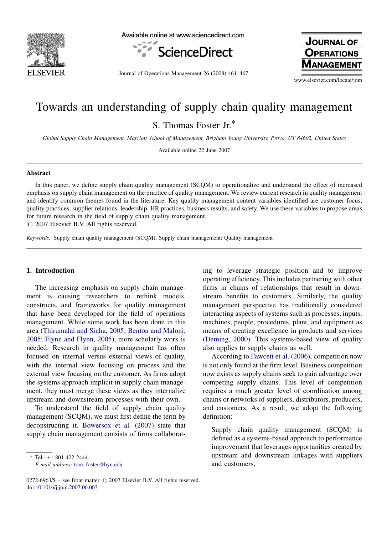

Available online at www.sciencedirect.com



Journal of Operations Management 26 (2008) 461–467

**JOURNAL OF OPERATIONS NAGEMENT** 

www.elsevier.com/locate/jom

# Towards an understanding of supply chain quality management S. Thomas Foster Jr.\*

Global Supply Chain Management, Marriott School of Management, Brigham Young University, Provo, UT 84602, United States

Available online 22 June 2007

#### Abstract

In this paper, we define supply chain quality management (SCQM) to operationalize and understand the effect of increased emphasis on supply chain management on the practice of quality management. We review current research in quality management and identify common themes found in the literature. Key quality management content variables identified are customer focus, quality practices, supplier relations, leadership, HR practices, business results, and safety. We use these variables to propose areas for future research in the field of supply chain quality management.

 $\odot$  2007 Elsevier B.V. All rights reserved.

Keywords: Supply chain quality management (SCQM); Supply chain management; Quality management

#### 1. Introduction

The increasing emphasis on supply chain management is causing researchers to rethink models, constructs, and frameworks for quality management that have been developed for the field of operations management. While some work has been done in this area ([Thirumalai and Sinha, 2005; Benton and Maloni,](#page--1-0) [2005; Flynn and Flynn, 2005](#page--1-0)), more scholarly work is needed. Research in quality management has often focused on internal versus external views of quality, with the internal view focusing on process and the external view focusing on the customer. As firms adopt the systems approach implicit in supply chain management, they must merge these views as they internalize upstream and downstream processes with their own.

To understand the field of supply chain quality management (SCQM), we must first define the term by deconstructing it. [Bowersox et al. \(2007\)](#page--1-0) state that supply chain management consists of firms collaborat-

\* Tel.: +1 801 422 2444. E-mail address: [tom\\_foster@byu.edu](mailto:tom_foster@byu.edu). ing to leverage strategic position and to improve operating efficiency. This includes partnering with other firms in chains of relationships that result in downstream benefits to customers. Similarly, the quality management perspective has traditionally considered interacting aspects of systems such as processes, inputs, machines, people, procedures, plant, and equipment as means of creating excellence in products and services [\(Deming, 2000](#page--1-0)). This systems-based view of quality also applies to supply chains as well.

According to [Fawcett et al. \(2006\),](#page--1-0) competition now is not only found at the firm level. Business competition now exists as supply chains seek to gain advantage over competing supply chains. This level of competition requires a much greater level of coordination among chains or networks of suppliers, distributors, producers, and customers. As a result, we adopt the following definition:

Supply chain quality management (SCQM) is defined as a systems-based approach to performance improvement that leverages opportunities created by upstream and downstream linkages with suppliers and customers.

 $0272-6963/\$$  – see front matter  $\odot$  2007 Elsevier B.V. All rights reserved. doi[:10.1016/j.jom.2007.06.003](http://dx.doi.org/10.1016/j.jom.2007.06.003)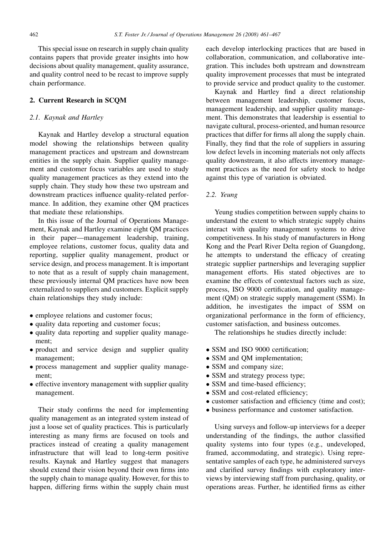This special issue on research in supply chain quality contains papers that provide greater insights into how decisions about quality management, quality assurance, and quality control need to be recast to improve supply chain performance.

### 2. Current Research in SCQM

### 2.1. Kaynak and Hartley

Kaynak and Hartley develop a structural equation model showing the relationships between quality management practices and upstream and downstream entities in the supply chain. Supplier quality management and customer focus variables are used to study quality management practices as they extend into the supply chain. They study how these two upstream and downstream practices influence quality-related performance. In addition, they examine other QM practices that mediate these relationships.

In this issue of the Journal of Operations Management, Kaynak and Hartley examine eight QM practices in their paper—management leadership, training, employee relations, customer focus, quality data and reporting, supplier quality management, product or service design, and process management. It is important to note that as a result of supply chain management, these previously internal QM practices have now been externalized to suppliers and customers. Explicit supply chain relationships they study include:

- employee relations and customer focus;
- quality data reporting and customer focus;
- quality data reporting and supplier quality management;
- product and service design and supplier quality management;
- process management and supplier quality management;
- effective inventory management with supplier quality management.

Their study confirms the need for implementing quality management as an integrated system instead of just a loose set of quality practices. This is particularly interesting as many firms are focused on tools and practices instead of creating a quality management infrastructure that will lead to long-term positive results. Kaynak and Hartley suggest that managers should extend their vision beyond their own firms into the supply chain to manage quality. However, for this to happen, differing firms within the supply chain must each develop interlocking practices that are based in collaboration, communication, and collaborative integration. This includes both upstream and downstream quality improvement processes that must be integrated to provide service and product quality to the customer.

Kaynak and Hartley find a direct relationship between management leadership, customer focus, management leadership, and supplier quality management. This demonstrates that leadership is essential to navigate cultural, process-oriented, and human resource practices that differ for firms all along the supply chain. Finally, they find that the role of suppliers in assuring low defect levels in incoming materials not only affects quality downstream, it also affects inventory management practices as the need for safety stock to hedge against this type of variation is obviated.

## 2.2. Yeung

Yeung studies competition between supply chains to understand the extent to which strategic supply chains interact with quality management systems to drive competitiveness. In his study of manufacturers in Hong Kong and the Pearl River Delta region of Guangdong, he attempts to understand the efficacy of creating strategic supplier partnerships and leveraging supplier management efforts. His stated objectives are to examine the effects of contextual factors such as size, process, ISO 9000 certification, and quality management (QM) on strategic supply management (SSM). In addition, he investigates the impact of SSM on organizational performance in the form of efficiency, customer satisfaction, and business outcomes.

The relationships he studies directly include:

- SSM and ISO 9000 certification;
- SSM and QM implementation;
- SSM and company size;
- SSM and strategy process type;
- SSM and time-based efficiency;
- SSM and cost-related efficiency;
- customer satisfaction and efficiency (time and cost);
- business performance and customer satisfaction.

Using surveys and follow-up interviews for a deeper understanding of the findings, the author classified quality systems into four types (e.g., undeveloped, framed, accommodating, and strategic). Using representative samples of each type, he administered surveys and clarified survey findings with exploratory interviews by interviewing staff from purchasing, quality, or operations areas. Further, he identified firms as either